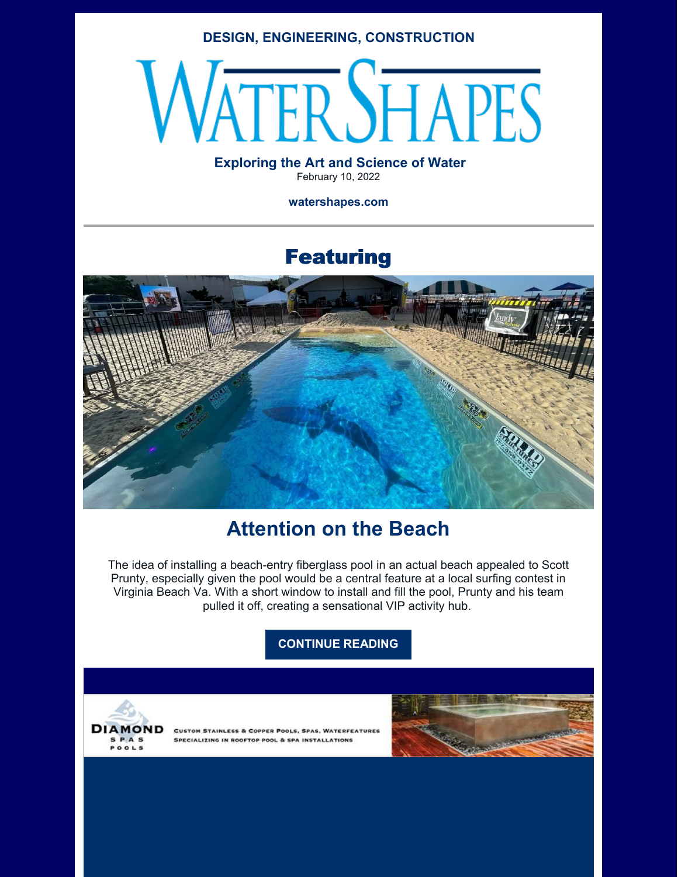### **DESIGN, ENGINEERING, CONSTRUCTION**

# **ERSHAPES**

### **Exploring the Art and Science of Water** February 10, 2022

**watershapes.com**

# Featuring



# **Attention on the Beach**

The idea of installing a beach-entry fiberglass pool in an actual beach appealed to Scott Prunty, especially given the pool would be a central feature at a local surfing contest in Virginia Beach Va. With a short window to install and fill the pool, Prunty and his team pulled it off, creating a sensational VIP activity hub.

### **[CONTINUE](https://watershapes.com/attention-on-the-beach/) READING**



**CUSTOM STAINLESS & COPPER POOLS, SPAS, WATERFEATURES** SPECIALIZING IN ROOFTOP POOL & SPA INSTALLATIONS

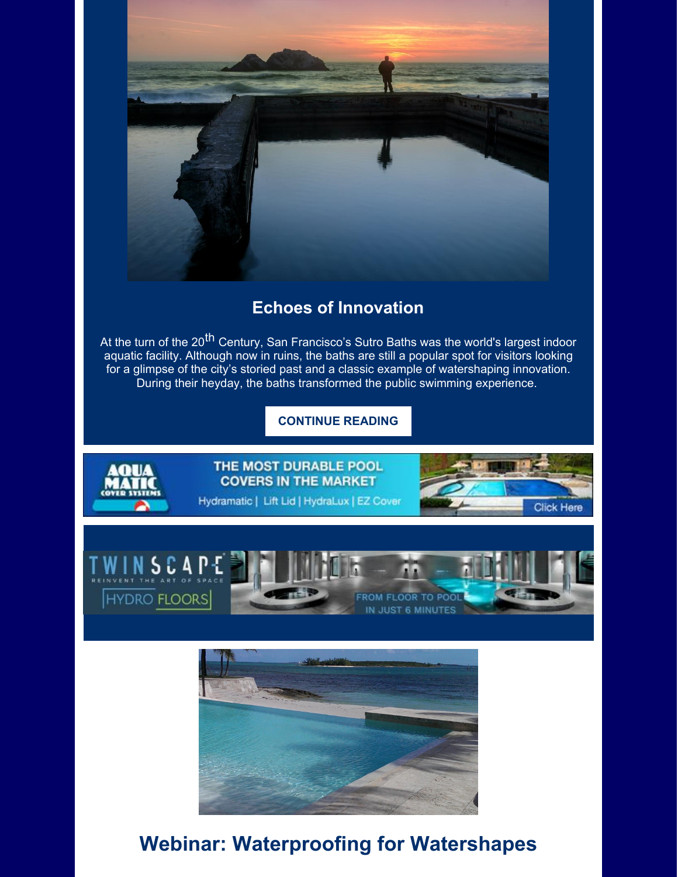

# **Echoes of Innovation**

At the turn of the 20<sup>th</sup> Century, San Francisco's Sutro Baths was the world's largest indoor aquatic facility. Although now in ruins, the baths are still a popular spot for visitors looking for a glimpse of the city's storied past and a classic example of watershaping innovation. During their heyday, the baths transformed the public swimming experience.

## **[CONTINUE](https://watershapes.com/echoes-of-innovation/) READING**



THE MOST DURABLE POOL **COVERS IN THE MARKET** 

Hydramatic | Lift Lid | HydraLux | EZ Cover







# **Webinar: Waterproofing for Watershapes**